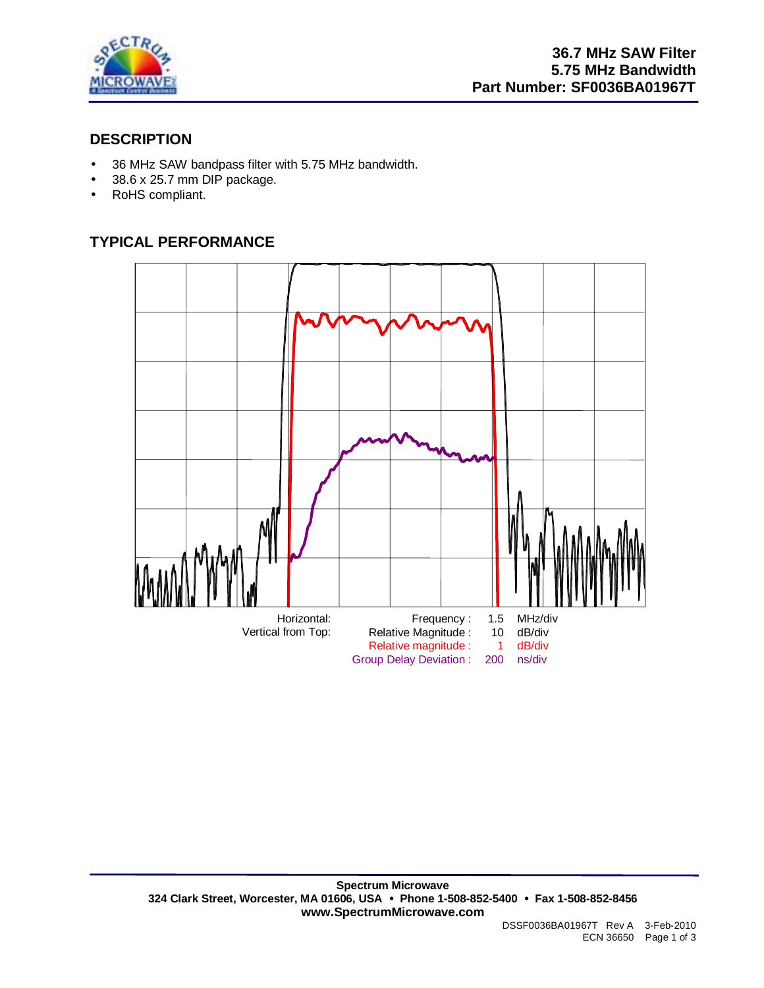

## **DESCRIPTION**

- 36 MHz SAW bandpass filter with 5.75 MHz bandwidth.
- 38.6 x 25.7 mm DIP package.
- RoHS compliant.

# **TYPICAL PERFORMANCE**

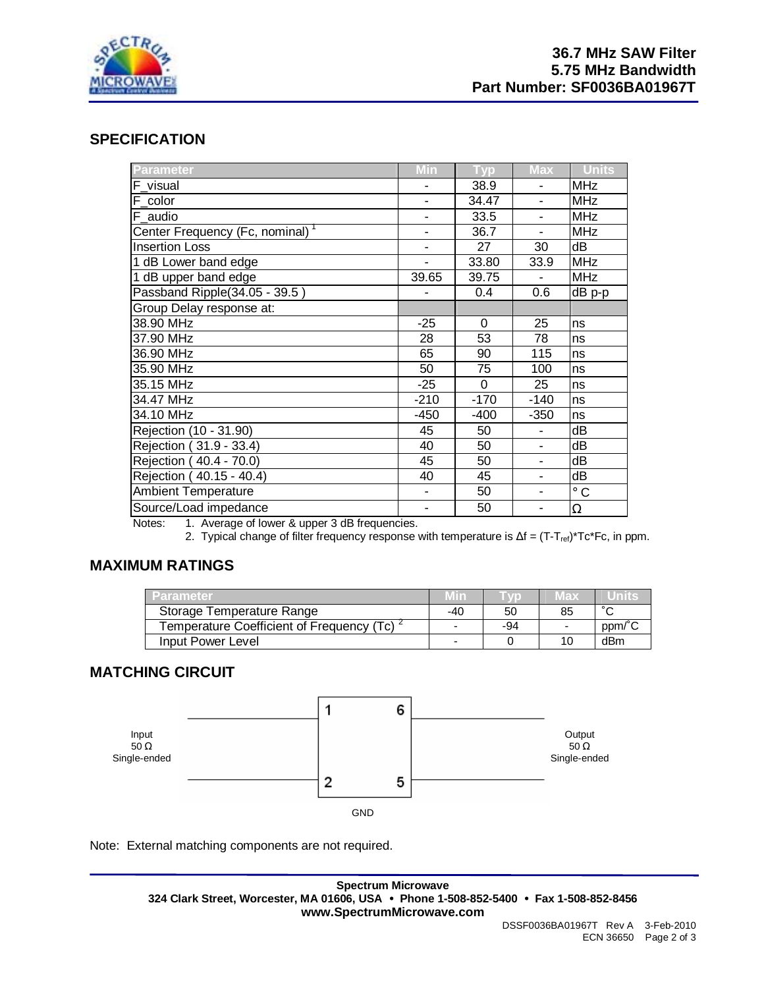

### **SPECIFICATION**

| Parameter                                     | Min                      | Typ      | <b>Max</b>               | <b>Units</b> |
|-----------------------------------------------|--------------------------|----------|--------------------------|--------------|
| F_visual                                      | ٠                        | 38.9     |                          | <b>MHz</b>   |
| $F_{\perp}$ color                             | ۰                        | 34.47    |                          | <b>MHz</b>   |
| $F_$ audio                                    | -                        | 33.5     | ۰                        | <b>MHz</b>   |
| Center Frequency (Fc, nominal) <sup>1</sup>   | $\overline{\phantom{a}}$ | 36.7     | ۰                        | <b>MHz</b>   |
| <b>Insertion Loss</b>                         | ä,                       | 27       | 30                       | dB           |
| 1 dB Lower band edge                          |                          | 33.80    | 33.9                     | <b>MHz</b>   |
| 1 dB upper band edge                          | 39.65                    | 39.75    |                          | <b>MHz</b>   |
| Passband Ripple(34.05 - 39.5)                 |                          | 0.4      | 0.6                      | $dB$ p-p     |
| Group Delay response at:                      |                          |          |                          |              |
| 38.90 MHz                                     | $-25$                    | $\Omega$ | 25                       | ns           |
| 37.90 MHz                                     | 28                       | 53       | 78                       | ns           |
| 36.90 MHz                                     | 65                       | 90       | 115                      | ns           |
| 35.90 MHz                                     | 50                       | 75       | 100                      | ns           |
| 35.15 MHz                                     | $-25$                    | 0        | 25                       | ns           |
| 34.47 MHz                                     | $-210$                   | $-170$   | $-140$                   | ns           |
| 34.10 MHz                                     | $-450$                   | $-400$   | $-350$                   | ns           |
| Rejection (10 - 31.90)                        | 45                       | 50       |                          | dB           |
| Rejection (31.9 - 33.4)                       | 40                       | 50       | $\blacksquare$           | dB           |
| Rejection (40.4 - 70.0)                       | 45                       | 50       | ۰                        | dB           |
| Rejection (40.15 - 40.4)                      | 40                       | 45       | $\overline{\phantom{a}}$ | dB           |
| Ambient Temperature                           | $\blacksquare$           | 50       | ٠                        | $^\circ$ C   |
| Source/Load impedance<br>$\sim$ $\sim$ $\sim$ | ۰                        | 50       |                          | Ω            |

Notes: 1. Average of lower & upper 3 dB frequencies.

2. Typical change of filter frequency response with temperature is  $\Delta f = (T - T_{ref})^*Tc^*Fc$ , in ppm.

### **MAXIMUM RATINGS**

| Parameter                                              | Min                      |     | Max                      | units  |
|--------------------------------------------------------|--------------------------|-----|--------------------------|--------|
| Storage Temperature Range                              | -40                      | 50  | 85                       | $\sim$ |
| Temperature Coefficient of Frequency (Tc) <sup>2</sup> | $\overline{\phantom{0}}$ | -94 | $\overline{\phantom{a}}$ | ppm/°C |
| Input Power Level                                      | $\blacksquare$           |     |                          | dBm    |

### **MATCHING CIRCUIT**



Note: External matching components are not required.

**Spectrum Microwave 324 Clark Street, Worcester, MA 01606, USA** • **Phone 1-508-852-5400** • **Fax 1-508-852-8456 www.SpectrumMicrowave.com**